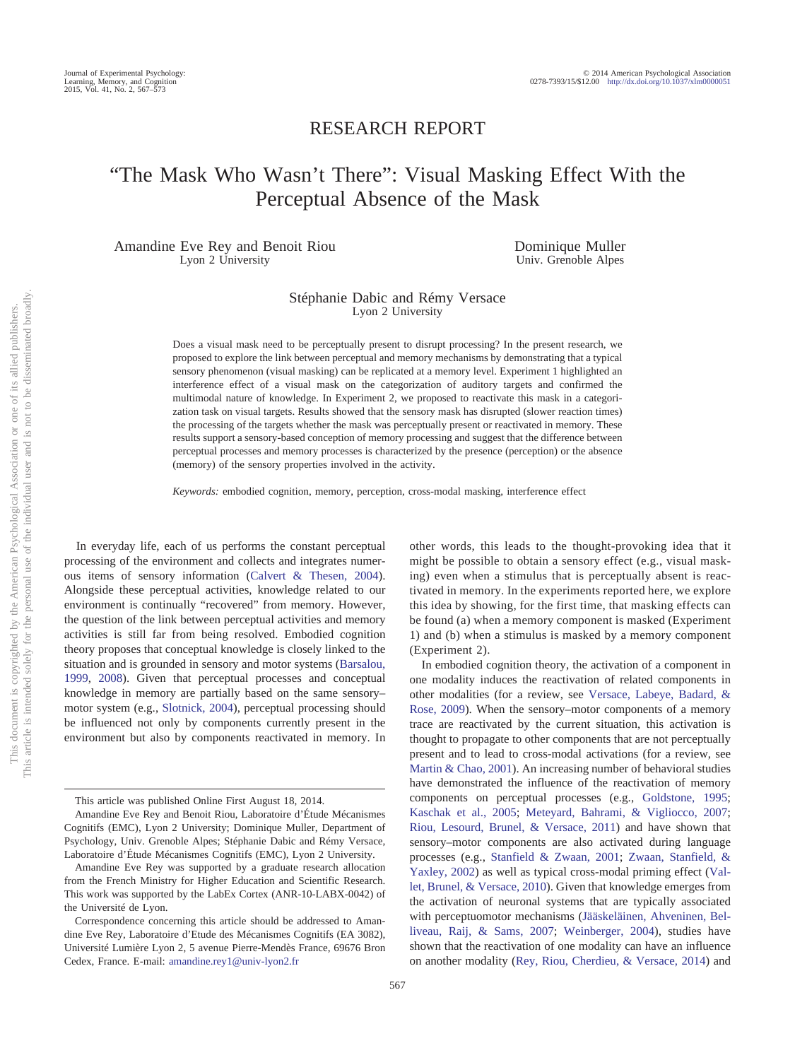## RESEARCH REPORT

# "The Mask Who Wasn't There": Visual Masking Effect With the Perceptual Absence of the Mask

Amandine Eve Rey and Benoit Riou Lyon 2 University

Dominique Muller Univ. Grenoble Alpes

#### Stéphanie Dabic and Rémy Versace Lyon 2 University

Does a visual mask need to be perceptually present to disrupt processing? In the present research, we proposed to explore the link between perceptual and memory mechanisms by demonstrating that a typical sensory phenomenon (visual masking) can be replicated at a memory level. Experiment 1 highlighted an interference effect of a visual mask on the categorization of auditory targets and confirmed the multimodal nature of knowledge. In Experiment 2, we proposed to reactivate this mask in a categorization task on visual targets. Results showed that the sensory mask has disrupted (slower reaction times) the processing of the targets whether the mask was perceptually present or reactivated in memory. These results support a sensory-based conception of memory processing and suggest that the difference between perceptual processes and memory processes is characterized by the presence (perception) or the absence (memory) of the sensory properties involved in the activity.

*Keywords:* embodied cognition, memory, perception, cross-modal masking, interference effect

In everyday life, each of us performs the constant perceptual processing of the environment and collects and integrates numerous items of sensory information [\(Calvert & Thesen, 2004\)](#page-5-0). Alongside these perceptual activities, knowledge related to our environment is continually "recovered" from memory. However, the question of the link between perceptual activities and memory activities is still far from being resolved. Embodied cognition theory proposes that conceptual knowledge is closely linked to the situation and is grounded in sensory and motor systems [\(Barsalou,](#page-4-0) [1999,](#page-4-0) [2008\)](#page-4-1). Given that perceptual processes and conceptual knowledge in memory are partially based on the same sensory– motor system (e.g., [Slotnick, 2004\)](#page-5-1), perceptual processing should be influenced not only by components currently present in the environment but also by components reactivated in memory. In other words, this leads to the thought-provoking idea that it might be possible to obtain a sensory effect (e.g., visual masking) even when a stimulus that is perceptually absent is reactivated in memory. In the experiments reported here, we explore this idea by showing, for the first time, that masking effects can be found (a) when a memory component is masked (Experiment 1) and (b) when a stimulus is masked by a memory component (Experiment 2).

In embodied cognition theory, the activation of a component in one modality induces the reactivation of related components in other modalities (for a review, see [Versace, Labeye, Badard, &](#page-5-2) [Rose, 2009\)](#page-5-2). When the sensory–motor components of a memory trace are reactivated by the current situation, this activation is thought to propagate to other components that are not perceptually present and to lead to cross-modal activations (for a review, see [Martin & Chao, 2001\)](#page-5-3). An increasing number of behavioral studies have demonstrated the influence of the reactivation of memory components on perceptual processes (e.g., [Goldstone, 1995;](#page-5-4) [Kaschak et al., 2005;](#page-5-5) [Meteyard, Bahrami, & Vigliocco, 2007;](#page-5-6) [Riou, Lesourd, Brunel, & Versace, 2011\)](#page-5-7) and have shown that sensory–motor components are also activated during language processes (e.g., [Stanfield & Zwaan, 2001;](#page-5-8) [Zwaan, Stanfield, &](#page-5-9) [Yaxley, 2002\)](#page-5-9) as well as typical cross-modal priming effect [\(Val](#page-5-10)[let, Brunel, & Versace, 2010\)](#page-5-10). Given that knowledge emerges from the activation of neuronal systems that are typically associated with perceptuomotor mechanisms [\(Jääskeläinen, Ahveninen, Bel](#page-5-11)[liveau, Raij, & Sams, 2007;](#page-5-11) [Weinberger, 2004\)](#page-5-12), studies have shown that the reactivation of one modality can have an influence on another modality [\(Rey, Riou, Cherdieu, & Versace, 2014\)](#page-5-13) and

This article was published Online First August 18, 2014.

Amandine Eve Rey and Benoit Riou, Laboratoire d'Étude Mécanismes Cognitifs (EMC), Lyon 2 University; Dominique Muller, Department of Psychology, Univ. Grenoble Alpes; Stéphanie Dabic and Rémy Versace, Laboratoire d'Étude Mécanismes Cognitifs (EMC), Lyon 2 University.

Amandine Eve Rey was supported by a graduate research allocation from the French Ministry for Higher Education and Scientific Research. This work was supported by the LabEx Cortex (ANR-10-LABX-0042) of the Université de Lyon.

Correspondence concerning this article should be addressed to Amandine Eve Rey, Laboratoire d'Etude des Mécanismes Cognitifs (EA 3082), Université Lumière Lyon 2, 5 avenue Pierre-Mendès France, 69676 Bron Cedex, France. E-mail: [amandine.rey1@univ-lyon2.fr](mailto:amandine.rey1@univ-lyon2.fr)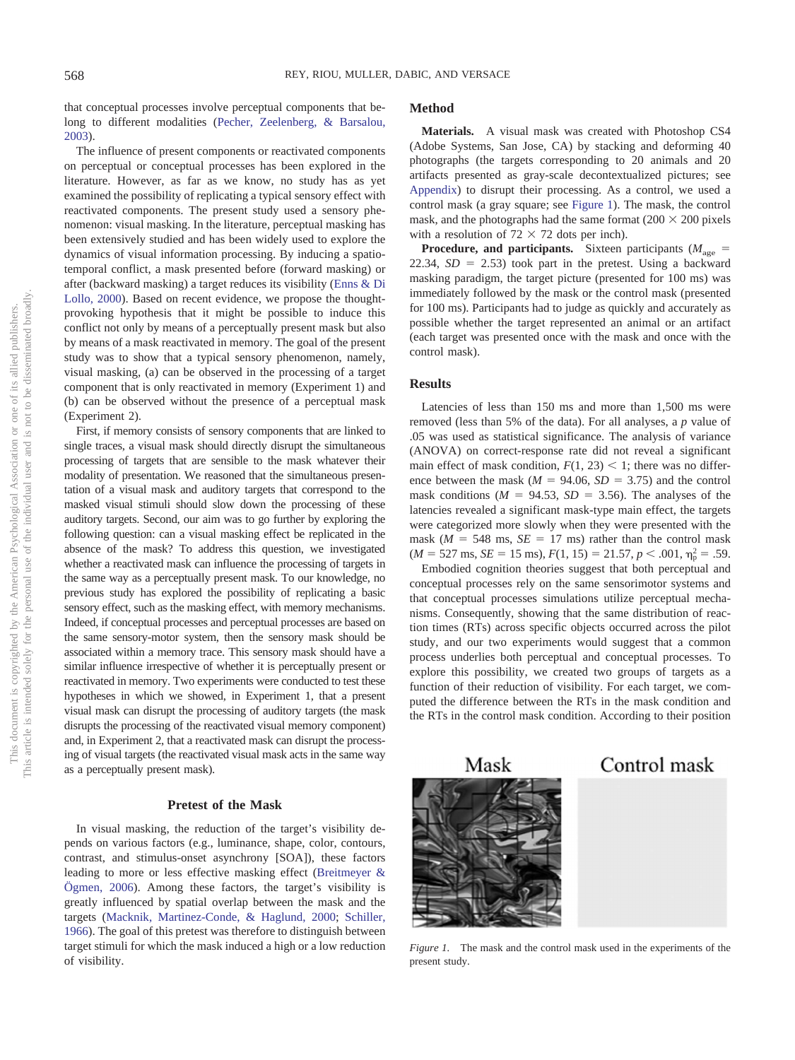that conceptual processes involve perceptual components that belong to different modalities [\(Pecher, Zeelenberg, & Barsalou,](#page-5-14) [2003\)](#page-5-14).

The influence of present components or reactivated components on perceptual or conceptual processes has been explored in the literature. However, as far as we know, no study has as yet examined the possibility of replicating a typical sensory effect with reactivated components. The present study used a sensory phenomenon: visual masking. In the literature, perceptual masking has been extensively studied and has been widely used to explore the dynamics of visual information processing. By inducing a spatiotemporal conflict, a mask presented before (forward masking) or after (backward masking) a target reduces its visibility [\(Enns & Di](#page-5-15) [Lollo, 2000\)](#page-5-15). Based on recent evidence, we propose the thoughtprovoking hypothesis that it might be possible to induce this conflict not only by means of a perceptually present mask but also by means of a mask reactivated in memory. The goal of the present study was to show that a typical sensory phenomenon, namely, visual masking, (a) can be observed in the processing of a target component that is only reactivated in memory (Experiment 1) and (b) can be observed without the presence of a perceptual mask (Experiment 2).

First, if memory consists of sensory components that are linked to single traces, a visual mask should directly disrupt the simultaneous processing of targets that are sensible to the mask whatever their modality of presentation. We reasoned that the simultaneous presentation of a visual mask and auditory targets that correspond to the masked visual stimuli should slow down the processing of these auditory targets. Second, our aim was to go further by exploring the following question: can a visual masking effect be replicated in the absence of the mask? To address this question, we investigated whether a reactivated mask can influence the processing of targets in the same way as a perceptually present mask. To our knowledge, no previous study has explored the possibility of replicating a basic sensory effect, such as the masking effect, with memory mechanisms. Indeed, if conceptual processes and perceptual processes are based on the same sensory-motor system, then the sensory mask should be associated within a memory trace. This sensory mask should have a similar influence irrespective of whether it is perceptually present or reactivated in memory. Two experiments were conducted to test these hypotheses in which we showed, in Experiment 1, that a present visual mask can disrupt the processing of auditory targets (the mask disrupts the processing of the reactivated visual memory component) and, in Experiment 2, that a reactivated mask can disrupt the processing of visual targets (the reactivated visual mask acts in the same way as a perceptually present mask).

#### **Pretest of the Mask**

In visual masking, the reduction of the target's visibility depends on various factors (e.g., luminance, shape, color, contours, contrast, and stimulus-onset asynchrony [SOA]), these factors leading to more or less effective masking effect [\(Breitmeyer &](#page-5-16) [Ögmen, 2006\)](#page-5-16). Among these factors, the target's visibility is greatly influenced by spatial overlap between the mask and the targets [\(Macknik, Martinez-Conde, & Haglund, 2000;](#page-5-17) [Schiller,](#page-5-18) [1966\)](#page-5-18). The goal of this pretest was therefore to distinguish between target stimuli for which the mask induced a high or a low reduction of visibility.

#### **Method**

**Materials.** A visual mask was created with Photoshop CS4 (Adobe Systems, San Jose, CA) by stacking and deforming 40 photographs (the targets corresponding to 20 animals and 20 artifacts presented as gray-scale decontextualized pictures; see [Appendix\)](#page-6-0) to disrupt their processing. As a control, we used a control mask (a gray square; see [Figure 1\)](#page-1-0). The mask, the control mask, and the photographs had the same format  $(200 \times 200)$  pixels with a resolution of  $72 \times 72$  dots per inch).

**Procedure, and participants.** Sixteen participants ( $M_{\text{age}}$  = 22.34,  $SD = 2.53$ ) took part in the pretest. Using a backward masking paradigm, the target picture (presented for 100 ms) was immediately followed by the mask or the control mask (presented for 100 ms). Participants had to judge as quickly and accurately as possible whether the target represented an animal or an artifact (each target was presented once with the mask and once with the control mask).

#### **Results**

Latencies of less than 150 ms and more than 1,500 ms were removed (less than 5% of the data). For all analyses, a *p* value of .05 was used as statistical significance. The analysis of variance (ANOVA) on correct-response rate did not reveal a significant main effect of mask condition,  $F(1, 23) \le 1$ ; there was no difference between the mask  $(M = 94.06, SD = 3.75)$  and the control mask conditions ( $M = 94.53$ ,  $SD = 3.56$ ). The analyses of the latencies revealed a significant mask-type main effect, the targets were categorized more slowly when they were presented with the mask ( $M = 548$  ms,  $SE = 17$  ms) rather than the control mask  $(M = 527 \text{ ms}, \text{ } SE = 15 \text{ ms}), F(1, 15) = 21.57, p < .001, \eta_{\text{p}}^2 = .59.$ 

Embodied cognition theories suggest that both perceptual and conceptual processes rely on the same sensorimotor systems and that conceptual processes simulations utilize perceptual mechanisms. Consequently, showing that the same distribution of reaction times (RTs) across specific objects occurred across the pilot study, and our two experiments would suggest that a common process underlies both perceptual and conceptual processes. To explore this possibility, we created two groups of targets as a function of their reduction of visibility. For each target, we computed the difference between the RTs in the mask condition and the RTs in the control mask condition. According to their position

Mask

Control mask

<span id="page-1-0"></span>

*Figure 1.* The mask and the control mask used in the experiments of the present study.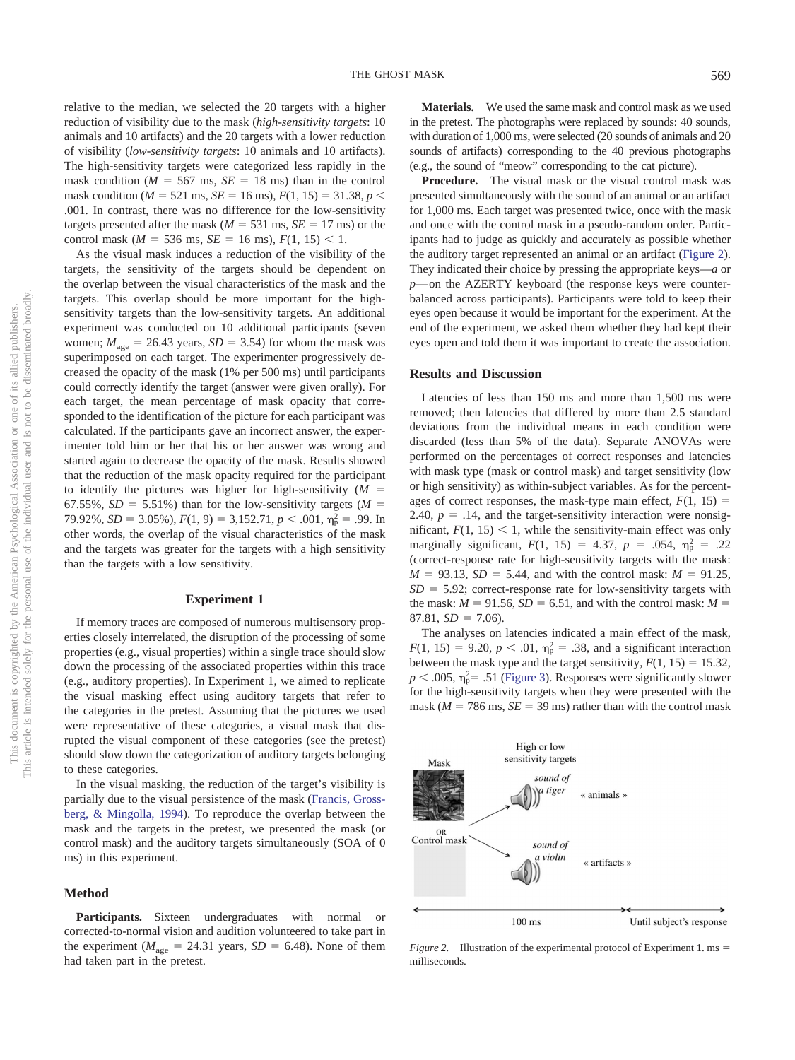relative to the median, we selected the 20 targets with a higher reduction of visibility due to the mask (*high-sensitivity targets*: 10 animals and 10 artifacts) and the 20 targets with a lower reduction of visibility (*low-sensitivity targets*: 10 animals and 10 artifacts). The high-sensitivity targets were categorized less rapidly in the mask condition ( $M = 567$  ms,  $SE = 18$  ms) than in the control mask condition ( $M = 521$  ms,  $SE = 16$  ms),  $F(1, 15) = 31.38$ ,  $p <$ .001. In contrast, there was no difference for the low-sensitivity targets presented after the mask ( $M = 531$  ms,  $SE = 17$  ms) or the control mask ( $M = 536$  ms,  $SE = 16$  ms),  $F(1, 15) < 1$ .

As the visual mask induces a reduction of the visibility of the targets, the sensitivity of the targets should be dependent on the overlap between the visual characteristics of the mask and the targets. This overlap should be more important for the highsensitivity targets than the low-sensitivity targets. An additional experiment was conducted on 10 additional participants (seven women;  $M_{\text{age}} = 26.43$  years,  $SD = 3.54$ ) for whom the mask was superimposed on each target. The experimenter progressively decreased the opacity of the mask (1% per 500 ms) until participants could correctly identify the target (answer were given orally). For each target, the mean percentage of mask opacity that corresponded to the identification of the picture for each participant was calculated. If the participants gave an incorrect answer, the experimenter told him or her that his or her answer was wrong and started again to decrease the opacity of the mask. Results showed that the reduction of the mask opacity required for the participant to identify the pictures was higher for high-sensitivity (*M* 67.55%,  $SD = 5.51\%$ ) than for the low-sensitivity targets ( $M =$ 79.92%,  $SD = 3.05\%$ ),  $F(1, 9) = 3,152.71$ ,  $p < .001$ ,  $\eta_p^2 = .99$ . In other words, the overlap of the visual characteristics of the mask and the targets was greater for the targets with a high sensitivity than the targets with a low sensitivity.

#### **Experiment 1**

If memory traces are composed of numerous multisensory properties closely interrelated, the disruption of the processing of some properties (e.g., visual properties) within a single trace should slow down the processing of the associated properties within this trace (e.g., auditory properties). In Experiment 1, we aimed to replicate the visual masking effect using auditory targets that refer to the categories in the pretest. Assuming that the pictures we used were representative of these categories, a visual mask that disrupted the visual component of these categories (see the pretest) should slow down the categorization of auditory targets belonging to these categories.

In the visual masking, the reduction of the target's visibility is partially due to the visual persistence of the mask [\(Francis, Gross](#page-5-19)[berg, & Mingolla, 1994\)](#page-5-19). To reproduce the overlap between the mask and the targets in the pretest, we presented the mask (or control mask) and the auditory targets simultaneously (SOA of 0 ms) in this experiment.

#### **Method**

**Participants.** Sixteen undergraduates with normal or corrected-to-normal vision and audition volunteered to take part in the experiment ( $M_{\text{age}} = 24.31$  years,  $SD = 6.48$ ). None of them had taken part in the pretest.

**Materials.** We used the same mask and control mask as we used in the pretest. The photographs were replaced by sounds: 40 sounds, with duration of 1,000 ms, were selected (20 sounds of animals and 20 sounds of artifacts) corresponding to the 40 previous photographs (e.g., the sound of "meow" corresponding to the cat picture).

**Procedure.** The visual mask or the visual control mask was presented simultaneously with the sound of an animal or an artifact for 1,000 ms. Each target was presented twice, once with the mask and once with the control mask in a pseudo-random order. Participants had to judge as quickly and accurately as possible whether the auditory target represented an animal or an artifact [\(Figure 2\)](#page-2-0). They indicated their choice by pressing the appropriate keys—*a* or *p*— on the AZERTY keyboard (the response keys were counterbalanced across participants). Participants were told to keep their eyes open because it would be important for the experiment. At the end of the experiment, we asked them whether they had kept their eyes open and told them it was important to create the association.

#### **Results and Discussion**

Latencies of less than 150 ms and more than 1,500 ms were removed; then latencies that differed by more than 2.5 standard deviations from the individual means in each condition were discarded (less than 5% of the data). Separate ANOVAs were performed on the percentages of correct responses and latencies with mask type (mask or control mask) and target sensitivity (low or high sensitivity) as within-subject variables. As for the percentages of correct responses, the mask-type main effect,  $F(1, 15) =$ 2.40,  $p = .14$ , and the target-sensitivity interaction were nonsignificant,  $F(1, 15) < 1$ , while the sensitivity-main effect was only marginally significant,  $F(1, 15) = 4.37$ ,  $p = .054$ ,  $\eta_p^2 = .22$ (correct-response rate for high-sensitivity targets with the mask:  $M = 93.13$ ,  $SD = 5.44$ , and with the control mask:  $M = 91.25$ ,  $SD = 5.92$ ; correct-response rate for low-sensitivity targets with the mask:  $M = 91.56$ ,  $SD = 6.51$ , and with the control mask:  $M =$  $87.81, SD = 7.06$ .

The analyses on latencies indicated a main effect of the mask,  $F(1, 15) = 9.20, p < .01, \eta_{\rm p}^2 = .38$ , and a significant interaction between the mask type and the target sensitivity,  $F(1, 15) = 15.32$ ,  $p < .005$ ,  $\eta_p^2 = .51$  [\(Figure 3\)](#page-3-0). Responses were significantly slower for the high-sensitivity targets when they were presented with the mask ( $M = 786$  ms,  $SE = 39$  ms) rather than with the control mask



<span id="page-2-0"></span>*Figure 2.* Illustration of the experimental protocol of Experiment 1. ms milliseconds.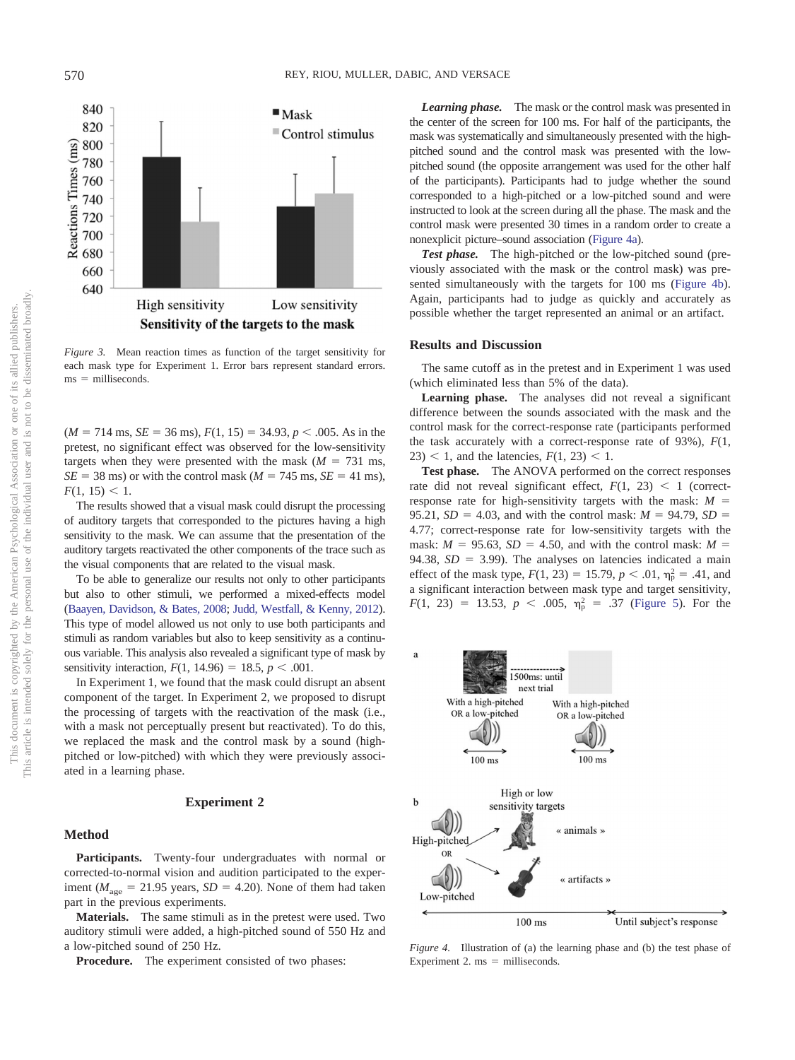

<span id="page-3-0"></span>*Figure 3.* Mean reaction times as function of the target sensitivity for each mask type for Experiment 1. Error bars represent standard errors.  $ms =$  milliseconds.

 $(M = 714 \text{ ms}, SE = 36 \text{ ms}), F(1, 15) = 34.93, p < .005$ . As in the pretest, no significant effect was observed for the low-sensitivity targets when they were presented with the mask  $(M = 731 \text{ ms})$ ,  $SE = 38$  ms) or with the control mask ( $M = 745$  ms,  $SE = 41$  ms),  $F(1, 15) < 1.$ 

The results showed that a visual mask could disrupt the processing of auditory targets that corresponded to the pictures having a high sensitivity to the mask. We can assume that the presentation of the auditory targets reactivated the other components of the trace such as the visual components that are related to the visual mask.

To be able to generalize our results not only to other participants but also to other stimuli, we performed a mixed-effects model [\(Baayen, Davidson, & Bates, 2008;](#page-4-2) [Judd, Westfall, & Kenny, 2012\)](#page-5-20). This type of model allowed us not only to use both participants and stimuli as random variables but also to keep sensitivity as a continuous variable. This analysis also revealed a significant type of mask by sensitivity interaction,  $F(1, 14.96) = 18.5, p < .001$ .

In Experiment 1, we found that the mask could disrupt an absent component of the target. In Experiment 2, we proposed to disrupt the processing of targets with the reactivation of the mask (i.e., with a mask not perceptually present but reactivated). To do this, we replaced the mask and the control mask by a sound (highpitched or low-pitched) with which they were previously associated in a learning phase.

#### **Experiment 2**

#### **Method**

**Participants.** Twenty-four undergraduates with normal or corrected-to-normal vision and audition participated to the experiment ( $M_{\text{age}} = 21.95$  years,  $SD = 4.20$ ). None of them had taken part in the previous experiments.

**Materials.** The same stimuli as in the pretest were used. Two auditory stimuli were added, a high-pitched sound of 550 Hz and a low-pitched sound of 250 Hz.

**Procedure.** The experiment consisted of two phases:

*Learning phase.* The mask or the control mask was presented in the center of the screen for 100 ms. For half of the participants, the mask was systematically and simultaneously presented with the highpitched sound and the control mask was presented with the lowpitched sound (the opposite arrangement was used for the other half of the participants). Participants had to judge whether the sound corresponded to a high-pitched or a low-pitched sound and were instructed to look at the screen during all the phase. The mask and the control mask were presented 30 times in a random order to create a nonexplicit picture–sound association [\(Figure 4a\)](#page-3-1).

*Test phase.* The high-pitched or the low-pitched sound (previously associated with the mask or the control mask) was presented simultaneously with the targets for 100 ms [\(Figure 4b\)](#page-3-1). Again, participants had to judge as quickly and accurately as possible whether the target represented an animal or an artifact.

#### **Results and Discussion**

The same cutoff as in the pretest and in Experiment 1 was used (which eliminated less than 5% of the data).

**Learning phase.** The analyses did not reveal a significant difference between the sounds associated with the mask and the control mask for the correct-response rate (participants performed the task accurately with a correct-response rate of 93%), *F*(1,  $23$ ) < 1, and the latencies,  $F(1, 23)$  < 1.

**Test phase.** The ANOVA performed on the correct responses rate did not reveal significant effect,  $F(1, 23) < 1$  (correctresponse rate for high-sensitivity targets with the mask: *M* 95.21,  $SD = 4.03$ , and with the control mask:  $M = 94.79$ ,  $SD =$ 4.77; correct-response rate for low-sensitivity targets with the mask:  $M = 95.63$ ,  $SD = 4.50$ , and with the control mask:  $M =$ 94.38,  $SD = 3.99$ ). The analyses on latencies indicated a main effect of the mask type,  $F(1, 23) = 15.79$ ,  $p < .01$ ,  $\eta_p^2 = .41$ , and a significant interaction between mask type and target sensitivity,  $F(1, 23) = 13.53, p < .005, \eta_p^2 = .37$  [\(Figure 5\)](#page-4-3). For the



<span id="page-3-1"></span>*Figure 4.* Illustration of (a) the learning phase and (b) the test phase of Experiment 2.  $ms =$  milliseconds.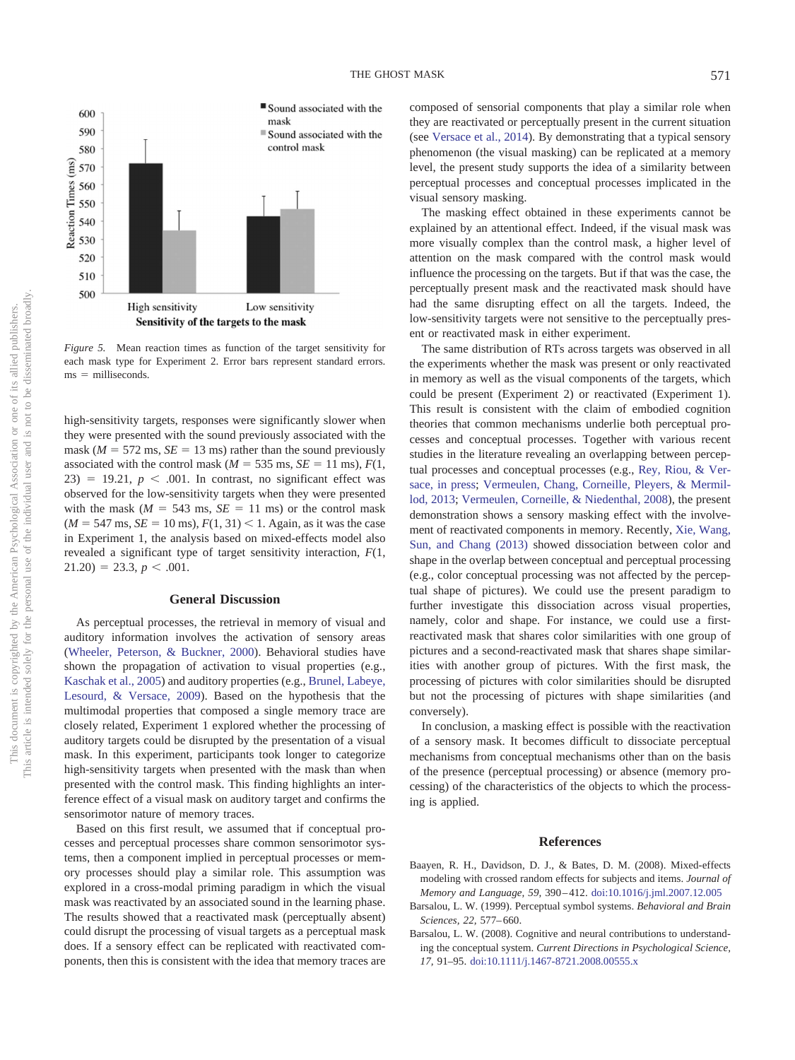

<span id="page-4-3"></span>*Figure 5.* Mean reaction times as function of the target sensitivity for each mask type for Experiment 2. Error bars represent standard errors.  $ms =$  milliseconds.

high-sensitivity targets, responses were significantly slower when they were presented with the sound previously associated with the mask ( $M = 572$  ms,  $SE = 13$  ms) rather than the sound previously associated with the control mask ( $M = 535$  ms,  $SE = 11$  ms),  $F(1,$  $23$ ) = 19.21,  $p < .001$ . In contrast, no significant effect was observed for the low-sensitivity targets when they were presented with the mask  $(M = 543 \text{ ms}, SE = 11 \text{ ms})$  or the control mask  $(M = 547 \text{ ms}, \text{SE} = 10 \text{ ms}, F(1, 31) < 1.$  Again, as it was the case in Experiment 1, the analysis based on mixed-effects model also revealed a significant type of target sensitivity interaction, *F*(1,  $21.20$ ) = 23.3, *p* < .001.

#### **General Discussion**

As perceptual processes, the retrieval in memory of visual and auditory information involves the activation of sensory areas [\(Wheeler, Peterson, & Buckner, 2000\)](#page-5-21). Behavioral studies have shown the propagation of activation to visual properties (e.g., [Kaschak et al., 2005\)](#page-5-5) and auditory properties (e.g., [Brunel, Labeye,](#page-5-22) [Lesourd, & Versace, 2009\)](#page-5-22). Based on the hypothesis that the multimodal properties that composed a single memory trace are closely related, Experiment 1 explored whether the processing of auditory targets could be disrupted by the presentation of a visual mask. In this experiment, participants took longer to categorize high-sensitivity targets when presented with the mask than when presented with the control mask. This finding highlights an interference effect of a visual mask on auditory target and confirms the sensorimotor nature of memory traces.

Based on this first result, we assumed that if conceptual processes and perceptual processes share common sensorimotor systems, then a component implied in perceptual processes or memory processes should play a similar role. This assumption was explored in a cross-modal priming paradigm in which the visual mask was reactivated by an associated sound in the learning phase. The results showed that a reactivated mask (perceptually absent) could disrupt the processing of visual targets as a perceptual mask does. If a sensory effect can be replicated with reactivated components, then this is consistent with the idea that memory traces are composed of sensorial components that play a similar role when they are reactivated or perceptually present in the current situation (see [Versace et al., 2014\)](#page-5-23). By demonstrating that a typical sensory phenomenon (the visual masking) can be replicated at a memory level, the present study supports the idea of a similarity between perceptual processes and conceptual processes implicated in the visual sensory masking.

The masking effect obtained in these experiments cannot be explained by an attentional effect. Indeed, if the visual mask was more visually complex than the control mask, a higher level of attention on the mask compared with the control mask would influence the processing on the targets. But if that was the case, the perceptually present mask and the reactivated mask should have had the same disrupting effect on all the targets. Indeed, the low-sensitivity targets were not sensitive to the perceptually present or reactivated mask in either experiment.

The same distribution of RTs across targets was observed in all the experiments whether the mask was present or only reactivated in memory as well as the visual components of the targets, which could be present (Experiment 2) or reactivated (Experiment 1). This result is consistent with the claim of embodied cognition theories that common mechanisms underlie both perceptual processes and conceptual processes. Together with various recent studies in the literature revealing an overlapping between perceptual processes and conceptual processes (e.g., [Rey, Riou, & Ver](#page-5-24)[sace, in press;](#page-5-24) [Vermeulen, Chang, Corneille, Pleyers, & Mermil](#page-5-25)[lod, 2013;](#page-5-25) [Vermeulen, Corneille, & Niedenthal, 2008\)](#page-5-26), the present demonstration shows a sensory masking effect with the involvement of reactivated components in memory. Recently, [Xie, Wang,](#page-5-27) [Sun, and Chang \(2013\)](#page-5-27) showed dissociation between color and shape in the overlap between conceptual and perceptual processing (e.g., color conceptual processing was not affected by the perceptual shape of pictures). We could use the present paradigm to further investigate this dissociation across visual properties, namely, color and shape. For instance, we could use a firstreactivated mask that shares color similarities with one group of pictures and a second-reactivated mask that shares shape similarities with another group of pictures. With the first mask, the processing of pictures with color similarities should be disrupted but not the processing of pictures with shape similarities (and conversely).

In conclusion, a masking effect is possible with the reactivation of a sensory mask. It becomes difficult to dissociate perceptual mechanisms from conceptual mechanisms other than on the basis of the presence (perceptual processing) or absence (memory processing) of the characteristics of the objects to which the processing is applied.

#### **References**

- <span id="page-4-2"></span>Baayen, R. H., Davidson, D. J., & Bates, D. M. (2008). Mixed-effects modeling with crossed random effects for subjects and items. *Journal of Memory and Language, 59,* 390 – 412. [doi:10.1016/j.jml.2007.12.005](http://dx.doi.org/10.1016/j.jml.2007.12.005)
- <span id="page-4-0"></span>Barsalou, L. W. (1999). Perceptual symbol systems. *Behavioral and Brain Sciences, 22,* 577– 660.
- <span id="page-4-1"></span>Barsalou, L. W. (2008). Cognitive and neural contributions to understanding the conceptual system. *Current Directions in Psychological Science, 17,* 91–95. [doi:10.1111/j.1467-8721.2008.00555.x](http://dx.doi.org/10.1111/j.1467-8721.2008.00555.x)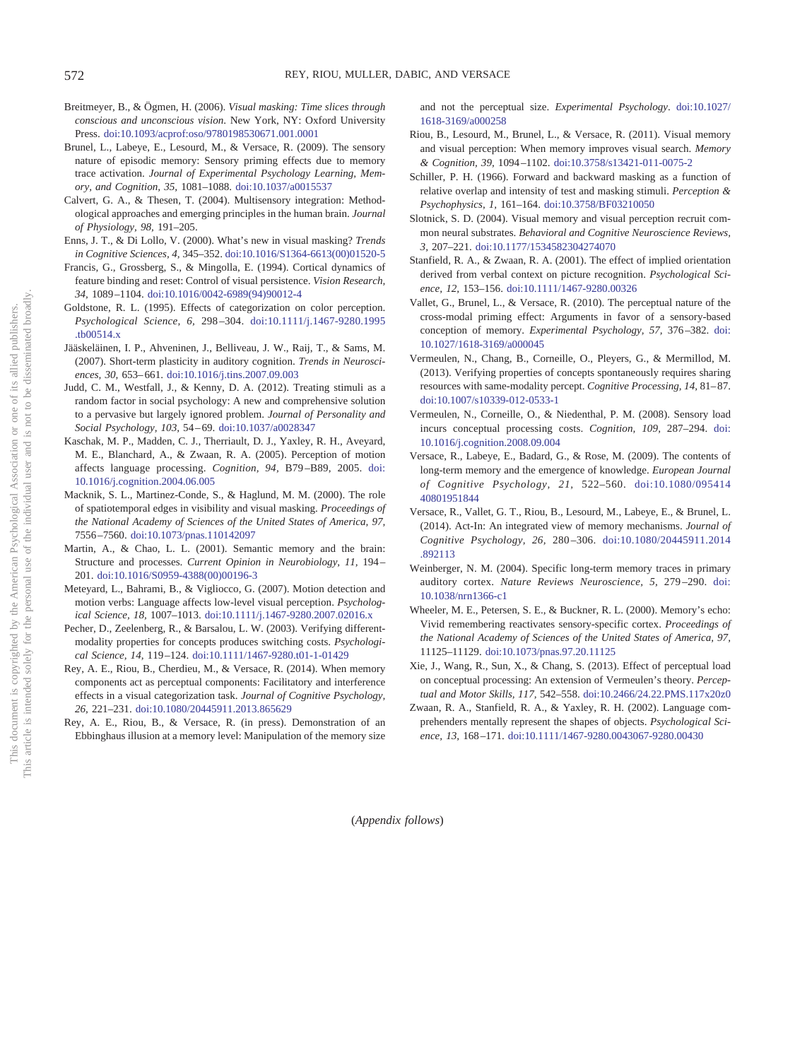- <span id="page-5-16"></span>Breitmeyer, B., & Ögmen, H. (2006). *Visual masking: Time slices through conscious and unconscious vision*. New York, NY: Oxford University Press. [doi:10.1093/acprof:oso/9780198530671.001.0001](http://dx.doi.org/10.1093/acprof:oso/9780198530671.001.0001)
- <span id="page-5-22"></span>Brunel, L., Labeye, E., Lesourd, M., & Versace, R. (2009). The sensory nature of episodic memory: Sensory priming effects due to memory trace activation. *Journal of Experimental Psychology Learning, Memory, and Cognition, 35,* 1081–1088. [doi:10.1037/a0015537](http://dx.doi.org/10.1037/a0015537)
- <span id="page-5-0"></span>Calvert, G. A., & Thesen, T. (2004). Multisensory integration: Methodological approaches and emerging principles in the human brain. *Journal of Physiology, 98,* 191–205.
- <span id="page-5-15"></span>Enns, J. T., & Di Lollo, V. (2000). What's new in visual masking? *Trends in Cognitive Sciences, 4,* 345–352. [doi:10.1016/S1364-6613\(00\)01520-5](http://dx.doi.org/10.1016/S1364-6613%2800%2901520-5)
- <span id="page-5-19"></span>Francis, G., Grossberg, S., & Mingolla, E. (1994). Cortical dynamics of feature binding and reset: Control of visual persistence. *Vision Research, 34,* 1089 –1104. [doi:10.1016/0042-6989\(94\)90012-4](http://dx.doi.org/10.1016/0042-6989%2894%2990012-4)
- <span id="page-5-4"></span>Goldstone, R. L. (1995). Effects of categorization on color perception. *Psychological Science, 6,* 298 –304. [doi:10.1111/j.1467-9280.1995](http://dx.doi.org/10.1111/j.1467-9280.1995.tb00514.x) [.tb00514.x](http://dx.doi.org/10.1111/j.1467-9280.1995.tb00514.x)
- <span id="page-5-11"></span>Jääskeläinen, I. P., Ahveninen, J., Belliveau, J. W., Raij, T., & Sams, M. (2007). Short-term plasticity in auditory cognition. *Trends in Neurosciences, 30,* 653– 661. [doi:10.1016/j.tins.2007.09.003](http://dx.doi.org/10.1016/j.tins.2007.09.003)
- <span id="page-5-20"></span>Judd, C. M., Westfall, J., & Kenny, D. A. (2012). Treating stimuli as a random factor in social psychology: A new and comprehensive solution to a pervasive but largely ignored problem. *Journal of Personality and Social Psychology, 103,* 54 – 69. [doi:10.1037/a0028347](http://dx.doi.org/10.1037/a0028347)
- <span id="page-5-5"></span>Kaschak, M. P., Madden, C. J., Therriault, D. J., Yaxley, R. H., Aveyard, M. E., Blanchard, A., & Zwaan, R. A. (2005). Perception of motion affects language processing. *Cognition, 94,* B79 –B89, 2005. [doi:](http://dx.doi.org/10.1016/j.cognition.2004.06.005) [10.1016/j.cognition.2004.06.005](http://dx.doi.org/10.1016/j.cognition.2004.06.005)
- <span id="page-5-17"></span>Macknik, S. L., Martinez-Conde, S., & Haglund, M. M. (2000). The role of spatiotemporal edges in visibility and visual masking. *Proceedings of the National Academy of Sciences of the United States of America, 97,* 7556 –7560. [doi:10.1073/pnas.110142097](http://dx.doi.org/10.1073/pnas.110142097)
- <span id="page-5-3"></span>Martin, A., & Chao, L. L. (2001). Semantic memory and the brain: Structure and processes. *Current Opinion in Neurobiology, 11,* 194 – 201. [doi:10.1016/S0959-4388\(00\)00196-3](http://dx.doi.org/10.1016/S0959-4388%2800%2900196-3)
- <span id="page-5-6"></span>Meteyard, L., Bahrami, B., & Vigliocco, G. (2007). Motion detection and motion verbs: Language affects low-level visual perception. *Psychological Science, 18,* 1007–1013. [doi:10.1111/j.1467-9280.2007.02016.x](http://dx.doi.org/10.1111/j.1467-9280.2007.02016.x)
- <span id="page-5-14"></span>Pecher, D., Zeelenberg, R., & Barsalou, L. W. (2003). Verifying differentmodality properties for concepts produces switching costs. *Psychological Science, 14,* 119 –124. [doi:10.1111/1467-9280.t01-1-01429](http://dx.doi.org/10.1111/1467-9280.t01-1-01429)
- <span id="page-5-13"></span>Rey, A. E., Riou, B., Cherdieu, M., & Versace, R. (2014). When memory components act as perceptual components: Facilitatory and interference effects in a visual categorization task. *Journal of Cognitive Psychology, 26,* 221–231. [doi:10.1080/20445911.2013.865629](http://dx.doi.org/10.1080/20445911.2013.865629)
- <span id="page-5-24"></span>Rey, A. E., Riou, B., & Versace, R. (in press). Demonstration of an Ebbinghaus illusion at a memory level: Manipulation of the memory size

and not the perceptual size. *Experimental Psychology*. [doi:10.1027/](http://dx.doi.org/10.1027/1618-3169/a000258) [1618-3169/a000258](http://dx.doi.org/10.1027/1618-3169/a000258)

- <span id="page-5-7"></span>Riou, B., Lesourd, M., Brunel, L., & Versace, R. (2011). Visual memory and visual perception: When memory improves visual search. *Memory & Cognition, 39,* 1094 –1102. [doi:10.3758/s13421-011-0075-2](http://dx.doi.org/10.3758/s13421-011-0075-2)
- <span id="page-5-18"></span>Schiller, P. H. (1966). Forward and backward masking as a function of relative overlap and intensity of test and masking stimuli. *Perception & Psychophysics, 1,* 161–164. [doi:10.3758/BF03210050](http://dx.doi.org/10.3758/BF03210050)
- <span id="page-5-1"></span>Slotnick, S. D. (2004). Visual memory and visual perception recruit common neural substrates. *Behavioral and Cognitive Neuroscience Reviews, 3,* 207–221. [doi:10.1177/1534582304274070](http://dx.doi.org/10.1177/1534582304274070)
- <span id="page-5-8"></span>Stanfield, R. A., & Zwaan, R. A. (2001). The effect of implied orientation derived from verbal context on picture recognition. *Psychological Science, 12,* 153–156. [doi:10.1111/1467-9280.00326](http://dx.doi.org/10.1111/1467-9280.00326)
- <span id="page-5-10"></span>Vallet, G., Brunel, L., & Versace, R. (2010). The perceptual nature of the cross-modal priming effect: Arguments in favor of a sensory-based conception of memory. *Experimental Psychology, 57,* 376 –382. [doi:](http://dx.doi.org/10.1027/1618-3169/a000045) [10.1027/1618-3169/a000045](http://dx.doi.org/10.1027/1618-3169/a000045)
- <span id="page-5-25"></span>Vermeulen, N., Chang, B., Corneille, O., Pleyers, G., & Mermillod, M. (2013). Verifying properties of concepts spontaneously requires sharing resources with same-modality percept. *Cognitive Processing, 14, 81-87*. [doi:10.1007/s10339-012-0533-1](http://dx.doi.org/10.1007/s10339-012-0533-1)
- <span id="page-5-26"></span>Vermeulen, N., Corneille, O., & Niedenthal, P. M. (2008). Sensory load incurs conceptual processing costs. *Cognition, 109,* 287–294. [doi:](http://dx.doi.org/10.1016/j.cognition.2008.09.004) [10.1016/j.cognition.2008.09.004](http://dx.doi.org/10.1016/j.cognition.2008.09.004)
- <span id="page-5-2"></span>Versace, R., Labeye, E., Badard, G., & Rose, M. (2009). The contents of long-term memory and the emergence of knowledge. *European Journal of Cognitive Psychology, 21,* 522–560. [doi:10.1080/095414](http://dx.doi.org/10.1080/09541440801951844) [40801951844](http://dx.doi.org/10.1080/09541440801951844)
- <span id="page-5-23"></span>Versace, R., Vallet, G. T., Riou, B., Lesourd, M., Labeye, E., & Brunel, L. (2014). Act-In: An integrated view of memory mechanisms. *Journal of Cognitive Psychology, 26,* 280 –306. [doi:10.1080/20445911.2014](http://dx.doi.org/10.1080/20445911.2014.892113) [.892113](http://dx.doi.org/10.1080/20445911.2014.892113)
- <span id="page-5-12"></span>Weinberger, N. M. (2004). Specific long-term memory traces in primary auditory cortex. *Nature Reviews Neuroscience, 5,* 279 –290. [doi:](http://dx.doi.org/10.1038/nrn1366-c1) [10.1038/nrn1366-c1](http://dx.doi.org/10.1038/nrn1366-c1)
- <span id="page-5-21"></span>Wheeler, M. E., Petersen, S. E., & Buckner, R. L. (2000). Memory's echo: Vivid remembering reactivates sensory-specific cortex. *Proceedings of the National Academy of Sciences of the United States of America, 97,* 11125–11129. [doi:10.1073/pnas.97.20.11125](http://dx.doi.org/10.1073/pnas.97.20.11125)
- <span id="page-5-27"></span>Xie, J., Wang, R., Sun, X., & Chang, S. (2013). Effect of perceptual load on conceptual processing: An extension of Vermeulen's theory. *Perceptual and Motor Skills, 117,* 542–558. [doi:10.2466/24.22.PMS.117x20z0](http://dx.doi.org/10.2466/24.22.PMS.117x20z0)
- <span id="page-5-9"></span>Zwaan, R. A., Stanfield, R. A., & Yaxley, R. H. (2002). Language comprehenders mentally represent the shapes of objects. *Psychological Science, 13,* 168 –171. [doi:10.1111/1467-9280.0043067-9280.00430](http://dx.doi.org/10.1111/1467-9280.0043067-9280.00430)

(*Appendix follows*)